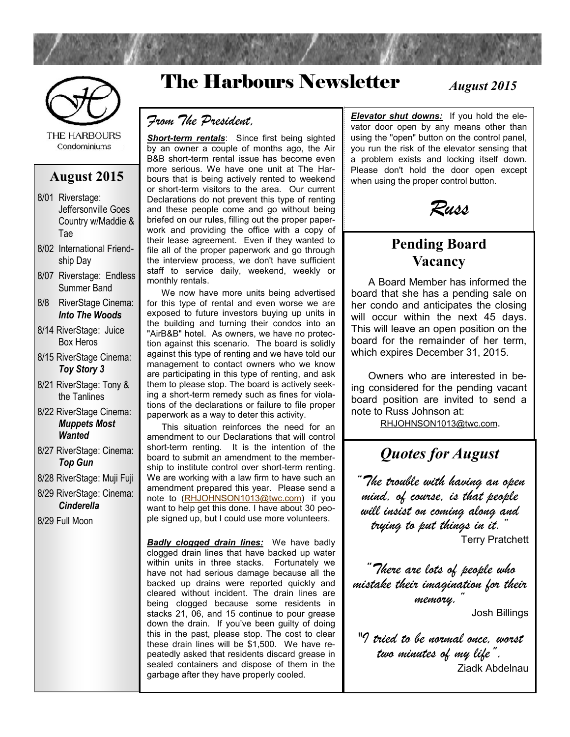

**THE HARBOURS** Condominiums

#### **August 2015**

- 8/01 Riverstage: Jeffersonville Goes Country w/Maddie & Tae
- 8/02 International Friendship Day
- 8/07 Riverstage: Endless Summer Band
- 8/8 RiverStage Cinema: *Into The Woods*
- 8/14 RiverStage: Juice Box Heros
- 8/15 RiverStage Cinema: *Toy Story 3*
- 8/21 RiverStage: Tony & the Tanlines
- 8/22 RiverStage Cinema: *Muppets Most Wanted*
- 8/27 RiverStage: Cinema: *Top Gun*
- 8/28 RiverStage: Muji Fuji
- 8/29 RiverStage: Cinema: *Cinderella*

8/29 Full Moon

# The Harbours Newsletter

*August 2015*

#### *From The President,*

*Short-term rentals*: Since first being sighted by an owner a couple of months ago, the Air B&B short-term rental issue has become even more serious. We have one unit at The Harbours that is being actively rented to weekend or short-term visitors to the area. Our current Declarations do not prevent this type of renting and these people come and go without being briefed on our rules, filling out the proper paperwork and providing the office with a copy of their lease agreement. Even if they wanted to file all of the proper paperwork and go through the interview process, we don't have sufficient staff to service daily, weekend, weekly or monthly rentals.

 We now have more units being advertised for this type of rental and even worse we are exposed to future investors buying up units in the building and turning their condos into an "AirB&B" hotel. As owners, we have no protection against this scenario. The board is solidly against this type of renting and we have told our management to contact owners who we know are participating in this type of renting, and ask them to please stop. The board is actively seeking a short-term remedy such as fines for violations of the declarations or failure to file proper paperwork as a way to deter this activity.

 This situation reinforces the need for an amendment to our Declarations that will control short-term renting. It is the intention of the board to submit an amendment to the membership to institute control over short-term renting. We are working with a law firm to have such an amendment prepared this year. Please send a note to [\(RHJOHNSON1013@twc.com\)](mailto:RHJOHNSON1013@twc.com) if you want to help get this done. I have about 30 people signed up, but I could use more volunteers.

*Badly clogged drain lines:* We have badly clogged drain lines that have backed up water within units in three stacks. Fortunately we have not had serious damage because all the backed up drains were reported quickly and cleared without incident. The drain lines are being clogged because some residents in stacks 21, 06, and 15 continue to pour grease down the drain. If you've been guilty of doing this in the past, please stop. The cost to clear these drain lines will be \$1,500. We have repeatedly asked that residents discard grease in sealed containers and dispose of them in the garbage after they have properly cooled.

*Elevator shut downs:* If you hold the elevator door open by any means other than using the "open" button on the control panel, you run the risk of the elevator sensing that a problem exists and locking itself down. Please don't hold the door open except when using the proper control button.



### **Pending Board Vacancy**

 A Board Member has informed the board that she has a pending sale on her condo and anticipates the closing will occur within the next 45 days. This will leave an open position on the board for the remainder of her term, which expires December 31, 2015.

 Owners who are interested in being considered for the pending vacant board position are invited to send a note to Russ Johnson at:

[RHJOHNSON1013@twc.com](mailto:RHJOHNSON1013@twc.com).

## *Quotes for August*

*"The trouble with having an open mind, of course, is that people will insist on coming along and trying to put things in it."* Terry Pratchett

*"There are lots of people who mistake their imagination for their memory."*

Josh Billings

*"I tried to be normal once, worst two minutes of my life".* Ziadk Abdelnau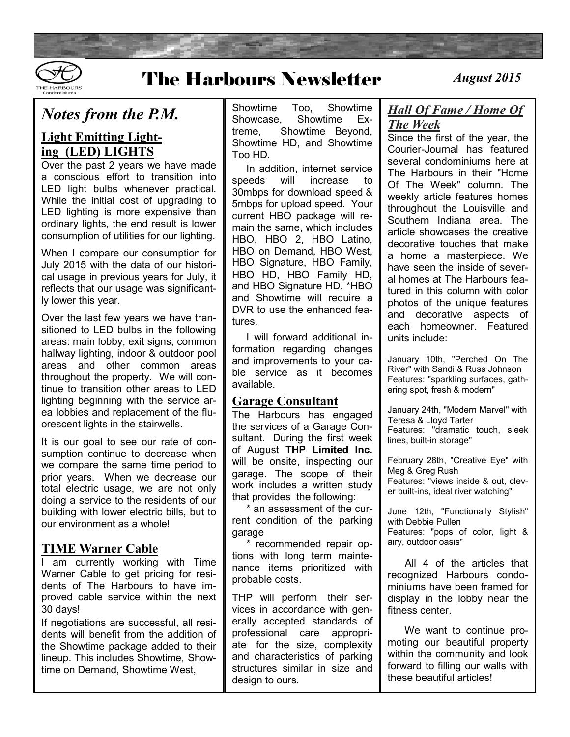

## The Harbours Newsletter *August 2015*

### *Notes from the P.M.*

#### **Light Emitting Lighting (LED) LIGHTS**

Over the past 2 years we have made a conscious effort to transition into LED light bulbs whenever practical. While the initial cost of upgrading to LED lighting is more expensive than ordinary lights, the end result is lower consumption of utilities for our lighting.

When I compare our consumption for July 2015 with the data of our historical usage in previous years for July, it reflects that our usage was significantly lower this year.

Over the last few years we have transitioned to LED bulbs in the following areas: main lobby, exit signs, common hallway lighting, indoor & outdoor pool areas and other common areas throughout the property. We will continue to transition other areas to LED lighting beginning with the service area lobbies and replacement of the fluorescent lights in the stairwells.

It is our goal to see our rate of consumption continue to decrease when we compare the same time period to prior years. When we decrease our total electric usage, we are not only doing a service to the residents of our building with lower electric bills, but to our environment as a whole!

#### **TIME Warner Cable**

I am currently working with Time Warner Cable to get pricing for residents of The Harbours to have improved cable service within the next 30 days!

If negotiations are successful, all residents will benefit from the addition of the Showtime package added to their lineup. This includes Showtime, Showtime on Demand, Showtime West,

Showtime Too, Showtime Showcase, Showtime Extreme, Showtime Beyond, Showtime HD, and Showtime Too HD.

 In addition, internet service speeds will increase to 30mbps for download speed & 5mbps for upload speed. Your current HBO package will remain the same, which includes HBO, HBO 2, HBO Latino, HBO on Demand, HBO West, HBO Signature, HBO Family, HBO HD, HBO Family HD, and HBO Signature HD. \*HBO and Showtime will require a DVR to use the enhanced features.

 I will forward additional information regarding changes and improvements to your cable service as it becomes available.

#### **Garage Consultant**

The Harbours has engaged the services of a Garage Consultant. During the first week of August **THP Limited Inc.** will be onsite, inspecting our garage. The scope of their work includes a written study that provides the following:

 \* an assessment of the current condition of the parking garage

 \* recommended repair options with long term maintenance items prioritized with probable costs.

THP will perform their services in accordance with generally accepted standards of professional care appropriate for the size, complexity and characteristics of parking structures similar in size and design to ours.

### *Hall Of Fame / Home Of The Week*

Since the first of the year, the Courier-Journal has featured several condominiums here at The Harbours in their "Home Of The Week" column. The weekly article features homes throughout the Louisville and Southern Indiana area. The article showcases the creative decorative touches that make a home a masterpiece. We have seen the inside of several homes at The Harbours featured in this column with color photos of the unique features and decorative aspects of each homeowner. Featured units include:

January 10th, "Perched On The River" with Sandi & Russ Johnson Features: "sparkling surfaces, gathering spot, fresh & modern"

January 24th, "Modern Marvel" with Teresa & Lloyd Tarter Features: "dramatic touch, sleek lines, built-in storage"

February 28th, "Creative Eye" with Meg & Greg Rush Features: "views inside & out, clever built-ins, ideal river watching"

June 12th, "Functionally Stylish" with Debbie Pullen Features: "pops of color, light & airy, outdoor oasis"

 All 4 of the articles that recognized Harbours condominiums have been framed for display in the lobby near the fitness center.

 We want to continue promoting our beautiful property within the community and look forward to filling our walls with these beautiful articles!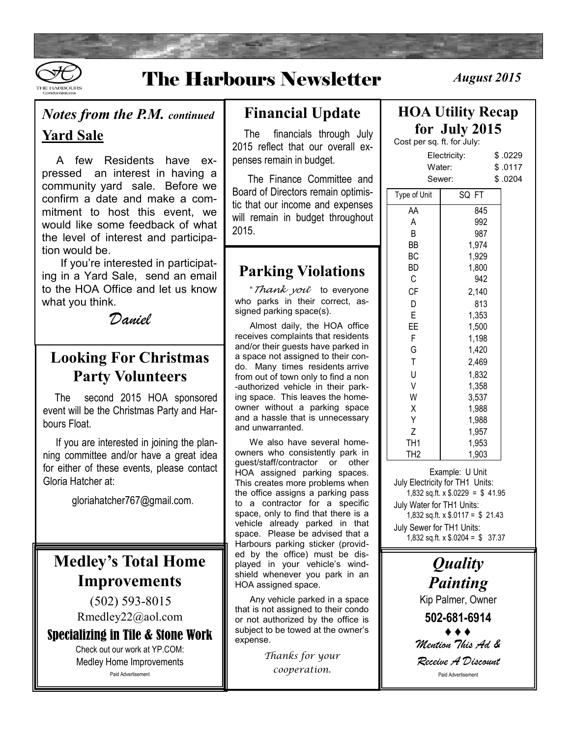

# The Harbours Newsletter *August 2015*

### *Notes from the P.M. continued*

### **Yard Sale**

 A few Residents have expressed an interest in having a community yard sale. Before we confirm a date and make a commitment to host this event, we would like some feedback of what the level of interest and participation would be.

 If you're interested in participating in a Yard Sale, send an email to the HOA Office and let us know what you think.

*Daniel*

## **Looking For Christmas Party Volunteers**

 The second 2015 HOA sponsored event will be the Christmas Party and Harbours Float.

 If you are interested in joining the planning committee and/or have a great idea for either of these events, please contact Gloria Hatcher at:

gloriahatcher767@gmail.com.

## **Medley's Total Home Improvements**

 (502) 593-8015 Rmedley22@aol.com

Specializing in Tile & Stone Work

Check out our work at YP.COM: Medley Home Improvements Paid Advertisement

## **Financial Update**

 The financials through July 2015 reflect that our overall expenses remain in budget.

 The Finance Committee and Board of Directors remain optimistic that our income and expenses will remain in budget throughout 2015.

## **Parking Violations**

 "*Thank you*" to everyone who parks in their correct, assigned parking space(s).

 Almost daily, the HOA office receives complaints that residents and/or their guests have parked in a space not assigned to their condo. Many times residents arrive from out of town only to find a non -authorized vehicle in their parking space. This leaves the homeowner without a parking space and a hassle that is unnecessary and unwarranted.

 We also have several homeowners who consistently park in guest/staff/contractor or other HOA assigned parking spaces. This creates more problems when the office assigns a parking pass to a contractor for a specific space, only to find that there is a vehicle already parked in that space. Please be advised that a Harbours parking sticker (provided by the office) must be displayed in your vehicle's windshield whenever you park in an HOA assigned space.

 Any vehicle parked in a space that is not assigned to their condo or not authorized by the office is subject to be towed at the owner's expense.

> *Thanks for your cooperation.*

## **HOA Utility Recap for July 2015**

Cost per sq. ft. for July:

| Electricity:<br>Water: |       | \$ .0229<br>\$.0117 |
|------------------------|-------|---------------------|
| Sewer:                 |       | \$.0204             |
| Type of Unit           | SQ FT |                     |
| АΑ                     | 845   |                     |
| Α                      | 992   |                     |
| B                      | 987   |                     |
| BВ                     | 1,974 |                     |
| ВC                     | 1,929 |                     |
| BD                     | 1,800 |                     |
| С                      | 942   |                     |
| <b>CF</b>              | 2,140 |                     |
| D                      | 813   |                     |
| E                      | 1,353 |                     |
| EE                     | 1,500 |                     |
| F                      | 1,198 |                     |
| G                      | 1,420 |                     |
| T                      | 2,469 |                     |
| U                      | 1,832 |                     |
| $\vee$                 | 1,358 |                     |
| W                      | 3,537 |                     |
| Χ                      | 1,988 |                     |
| Υ                      | 1,988 |                     |
| Z                      | 1,957 |                     |
| TH1                    | 1,953 |                     |
| TH <sub>2</sub>        | 1,903 |                     |
|                        |       |                     |

Example: U Unit July Electricity for TH1 Units: 1,832 sq.ft. x \$.0229 = \$ 41.95 July Water for TH1 Units: 1,832 sq.ft. x \$.0117 = \$ 21.43 July Sewer for TH1 Units: 1,832 sq.ft. x \$.0204 = \$ 37.37

> *Quality Painting* Kip Palmer, Owner **502-681-6914** ♦ ♦ ♦ *Mention This Ad & Receive A Discount* Paid Advertisement